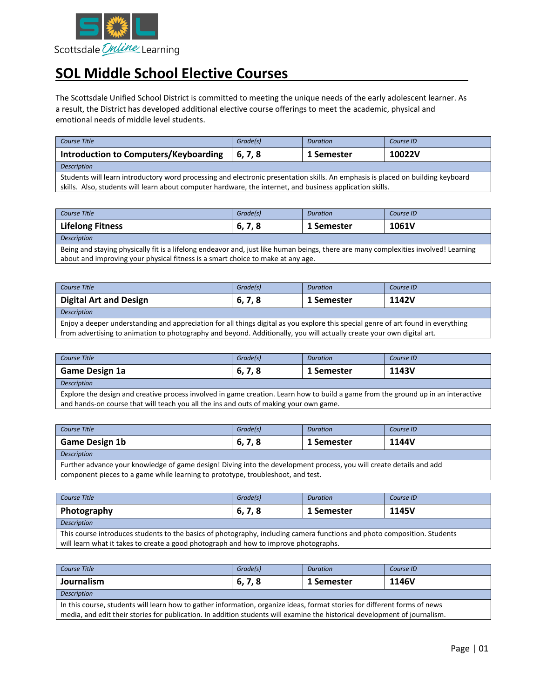

## **SOL Middle School Elective Courses**

The Scottsdale Unified School District is committed to meeting the unique needs of the early adolescent learner. As a result, the District has developed additional elective course offerings to meet the academic, physical and emotional needs of middle level students.

| Course Title                                                                                                                    | Grade(s) | <b>Duration</b> | Course ID |
|---------------------------------------------------------------------------------------------------------------------------------|----------|-----------------|-----------|
| <b>Introduction to Computers/Keyboarding</b>                                                                                    | 6.7.8    | 1 Semester      | 10022V    |
| <b>Description</b>                                                                                                              |          |                 |           |
| Students will learn introductory word processing and electronic presentation skills. An emphasis is placed on building keyboard |          |                 |           |

skills. Also, students will learn about computer hardware, the internet, and business application skills.

| Course Title            | Grade(s) | <b>Duration</b> | Course ID |
|-------------------------|----------|-----------------|-----------|
| <b>Lifelong Fitness</b> | 6, 7, 8  | 1 Semester      | 1061V     |
| <b>Description</b>      |          |                 |           |

Being and staying physically fit is a lifelong endeavor and, just like human beings, there are many complexities involved! Learning about and improving your physical fitness is a smart choice to make at any age.

| Course Title                                                                                                                      | Grade(s) | <b>Duration</b> | Course ID |
|-----------------------------------------------------------------------------------------------------------------------------------|----------|-----------------|-----------|
| <b>Digital Art and Design</b>                                                                                                     | 6, 7, 8  | 1 Semester      | 1142V     |
| Description                                                                                                                       |          |                 |           |
| Friew a deeper understanding and appreciation for all things digital as you explore this special genre of art found in everything |          |                 |           |

Enjoy a deeper understanding and appreciation for all things digital as you explore this special genre of art found in everything from advertising to animation to photography and beyond. Additionally, you will actually create your own digital art.

| Course Title          | Grade(s) | <b>Duration</b> | Course ID |
|-----------------------|----------|-----------------|-----------|
| <b>Game Design 1a</b> | 6, 7, 8  | 1 Semester      | 1143V     |
| <b>Description</b>    |          |                 |           |

Explore the design and creative process involved in game creation. Learn how to build a game from the ground up in an interactive and hands-on course that will teach you all the ins and outs of making your own game.

| Course Title          | Grade(s)               | <b>Duration</b> | Course ID |  |
|-----------------------|------------------------|-----------------|-----------|--|
| <b>Game Design 1b</b> | - 70<br><u>ხ, /, 8</u> | 1 Semester      | 1144V     |  |
| Description           |                        |                 |           |  |

Further advance your knowledge of game design! Diving into the development process, you will create details and add component pieces to a game while learning to prototype, troubleshoot, and test.

| Course Title                                                                                                                                                                                                     | Grade(s) | <b>Duration</b> | Course ID |  |
|------------------------------------------------------------------------------------------------------------------------------------------------------------------------------------------------------------------|----------|-----------------|-----------|--|
| Photography                                                                                                                                                                                                      | 6, 7, 8  | 1 Semester      | 1145V     |  |
| Description                                                                                                                                                                                                      |          |                 |           |  |
| This course introduces students to the basics of photography, including camera functions and photo composition. Students<br>will learn what it takes to create a good photograph and how to improve photographs. |          |                 |           |  |

| Course Title                                                                                                                                                                                                                                            | Grade(s) | <b>Duration</b> | Course ID |  |
|---------------------------------------------------------------------------------------------------------------------------------------------------------------------------------------------------------------------------------------------------------|----------|-----------------|-----------|--|
| Journalism                                                                                                                                                                                                                                              | 6, 7, 8  | 1 Semester      | 1146V     |  |
| Description                                                                                                                                                                                                                                             |          |                 |           |  |
| In this course, students will learn how to gather information, organize ideas, format stories for different forms of news<br>media, and edit their stories for publication. In addition students will examine the historical development of journalism. |          |                 |           |  |